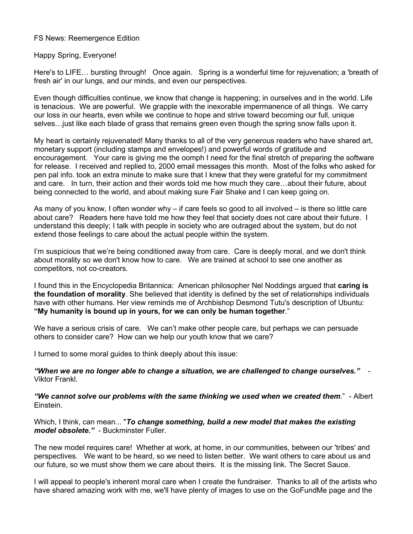### FS News: Reemergence Edition

Happy Spring, Everyone!

Here's to LIFE… bursting through! Once again. Spring is a wonderful time for rejuvenation; a 'breath of fresh air' in our lungs, and our minds, and even our perspectives.

Even though difficulties continue, we know that change is happening; in ourselves and in the world. Life is tenacious. We are powerful. We grapple with the inexorable impermanence of all things. We carry our loss in our hearts, even while we continue to hope and strive toward becoming our full, unique selves…just like each blade of grass that remains green even though the spring snow falls upon it.

My heart is certainly rejuvenated! Many thanks to all of the very generous readers who have shared art, monetary support (including stamps and envelopes!) and powerful words of gratitude and encouragement. Your care is giving me the oomph I need for the final stretch of preparing the software for release. I received and replied to, 2000 email messages this month. Most of the folks who asked for pen pal info. took an extra minute to make sure that I knew that they were grateful for my commitment and care. In turn, their action and their words told me how much they care…about their future, about being connected to the world, and about making sure Fair Shake and I can keep going on.

As many of you know, I often wonder why – if care feels so good to all involved – is there so little care about care? Readers here have told me how they feel that society does not care about their future. I understand this deeply; I talk with people in society who are outraged about the system, but do not extend those feelings to care about the actual people within the system.

I'm suspicious that we're being conditioned away from care. Care is deeply moral, and we don't think about morality so we don't know how to care. We are trained at school to see one another as competitors, not co-creators.

I found this in the Encyclopedia Britannica: American philosopher Nel Noddings argued that **caring is the foundation of morality**. She believed that identity is defined by the set of relationships individuals have with other humans. Her view reminds me of Archbishop Desmond Tutu's description of Ubuntu: **"My humanity is bound up in yours, for we can only be human together**."

We have a serious crisis of care. We can't make other people care, but perhaps we can persuade others to consider care? How can we help our youth know that we care?

I turned to some moral guides to think deeply about this issue:

*"When we are no longer able to change a situation, we are challenged to change ourselves."*- Viktor Frankl.

*"We cannot solve our problems with the same thinking we used when we created them*." - Albert Einstein.

Which, I think, can mean... "*To change something, build a new model that makes the existing model obsolete."* - Buckminster Fuller.

The new model requires care! Whether at work, at home, in our communities, between our 'tribes' and perspectives. We want to be heard, so we need to listen better. We want others to care about us and our future, so we must show them we care about theirs. It is the missing link. The Secret Sauce.

I will appeal to people's inherent moral care when I create the fundraiser. Thanks to all of the artists who have shared amazing work with me, we'll have plenty of images to use on the GoFundMe page and the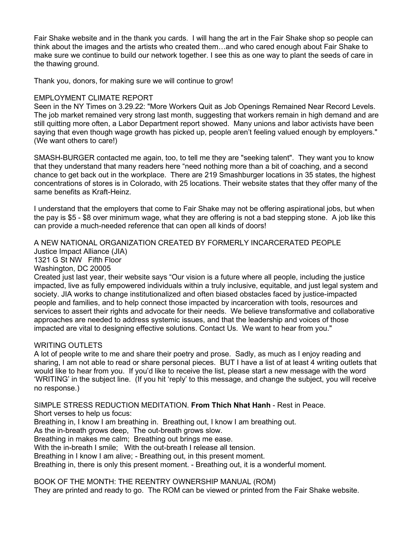Fair Shake website and in the thank you cards. I will hang the art in the Fair Shake shop so people can think about the images and the artists who created them…and who cared enough about Fair Shake to make sure we continue to build our network together. I see this as one way to plant the seeds of care in the thawing ground.

Thank you, donors, for making sure we will continue to grow!

# EMPLOYMENT CLIMATE REPORT

Seen in the NY Times on 3.29.22: "More Workers Quit as Job Openings Remained Near Record Levels. The job market remained very strong last month, suggesting that workers remain in high demand and are still quitting more often, a Labor Department report showed. Many unions and labor activists have been saying that even though wage growth has picked up, people aren't feeling valued enough by employers." (We want others to care!)

SMASH-BURGER contacted me again, too, to tell me they are "seeking talent". They want you to know that they understand that many readers here "need nothing more than a bit of coaching, and a second chance to get back out in the workplace. There are 219 Smashburger locations in 35 states, the highest concentrations of stores is in Colorado, with 25 locations. Their website states that they offer many of the same benefits as Kraft-Heinz.

I understand that the employers that come to Fair Shake may not be offering aspirational jobs, but when the pay is \$5 - \$8 over minimum wage, what they are offering is not a bad stepping stone. A job like this can provide a much-needed reference that can open all kinds of doors!

A NEW NATIONAL ORGANIZATION CREATED BY FORMERLY INCARCERATED PEOPLE Justice Impact Alliance (JIA) 1321 G St NW Fifth Floor Washington, DC 20005 Created just last year, their website says "Our vision is a future where all people, including the justice

impacted, live as fully empowered individuals within a truly inclusive, equitable, and just legal system and society. JIA works to change institutionalized and often biased obstacles faced by justice-impacted people and families, and to help connect those impacted by incarceration with tools, resources and services to assert their rights and advocate for their needs. We believe transformative and collaborative approaches are needed to address systemic issues, and that the leadership and voices of those impacted are vital to designing effective solutions. Contact Us. We want to hear from you."

# WRITING OUTLETS

A lot of people write to me and share their poetry and prose. Sadly, as much as I enjoy reading and sharing, I am not able to read or share personal pieces. BUT I have a list of at least 4 writing outlets that would like to hear from you. If you'd like to receive the list, please start a new message with the word 'WRITING' in the subject line. (If you hit 'reply' to this message, and change the subject, you will receive no response.)

SIMPLE STRESS REDUCTION MEDITATION. **From Thich Nhat Hanh** - Rest in Peace. Short verses to help us focus: Breathing in, I know I am breathing in. Breathing out, I know I am breathing out. As the in-breath grows deep, The out-breath grows slow. Breathing in makes me calm; Breathing out brings me ease. With the in-breath I smile; With the out-breath I release all tension. Breathing in I know I am alive; - Breathing out, in this present moment.

Breathing in, there is only this present moment. - Breathing out, it is a wonderful moment.

BOOK OF THE MONTH: THE REENTRY OWNERSHIP MANUAL (ROM)

They are printed and ready to go. The ROM can be viewed or printed from the Fair Shake website.